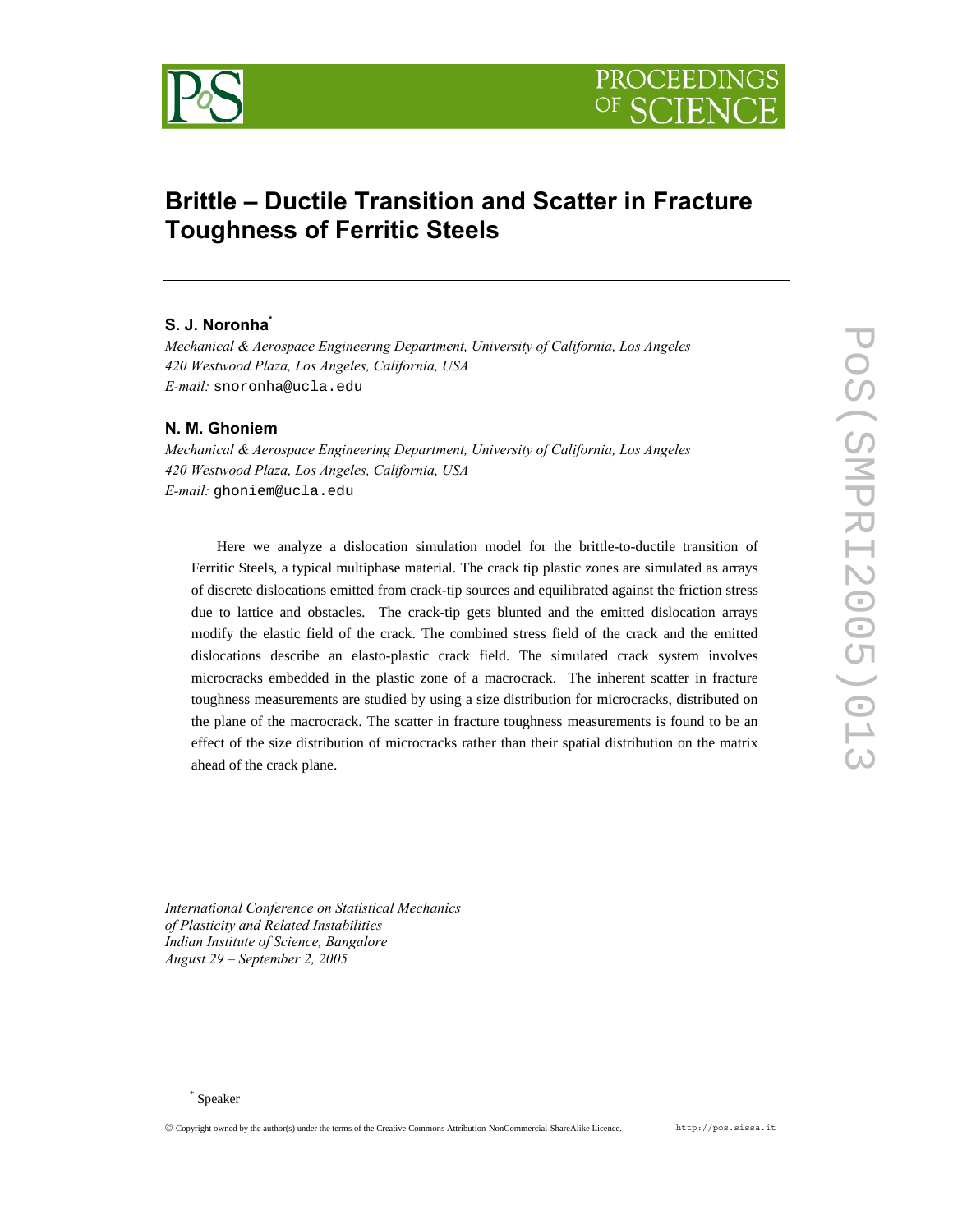



# **Brittle – Ductile Transition and Scatter in Fracture Toughness of Ferritic Steels**

## **S. J. Noronha\***

*Mechanical & Aerospace Engineering Department, University of California, Los Angeles 420 Westwood Plaza, Los Angeles, California, USA E-mail:* snoronha@ucla.edu

#### **N. M. Ghoniem**

*Mechanical & Aerospace Engineering Department, University of California, Los Angeles 420 Westwood Plaza, Los Angeles, California, USA E-mail:* ghoniem@ucla.edu

Here we analyze a dislocation simulation model for the brittle-to-ductile transition of Ferritic Steels, a typical multiphase material. The crack tip plastic zones are simulated as arrays of discrete dislocations emitted from crack-tip sources and equilibrated against the friction stress due to lattice and obstacles. The crack-tip gets blunted and the emitted dislocation arrays modify the elastic field of the crack. The combined stress field of the crack and the emitted dislocations describe an elasto-plastic crack field. The simulated crack system involves microcracks embedded in the plastic zone of a macrocrack. The inherent scatter in fracture toughness measurements are studied by using a size distribution for microcracks, distributed on the plane of the macrocrack. The scatter in fracture toughness measurements is found to be an effect of the size distribution of microcracks rather than their spatial distribution on the matrix ahead of the crack plane.

*International Conference on Statistical Mechanics of Plasticity and Related Instabilities Indian Institute of Science, Bangalore August 29 – September 2, 2005*

 <sup>\*</sup> Speaker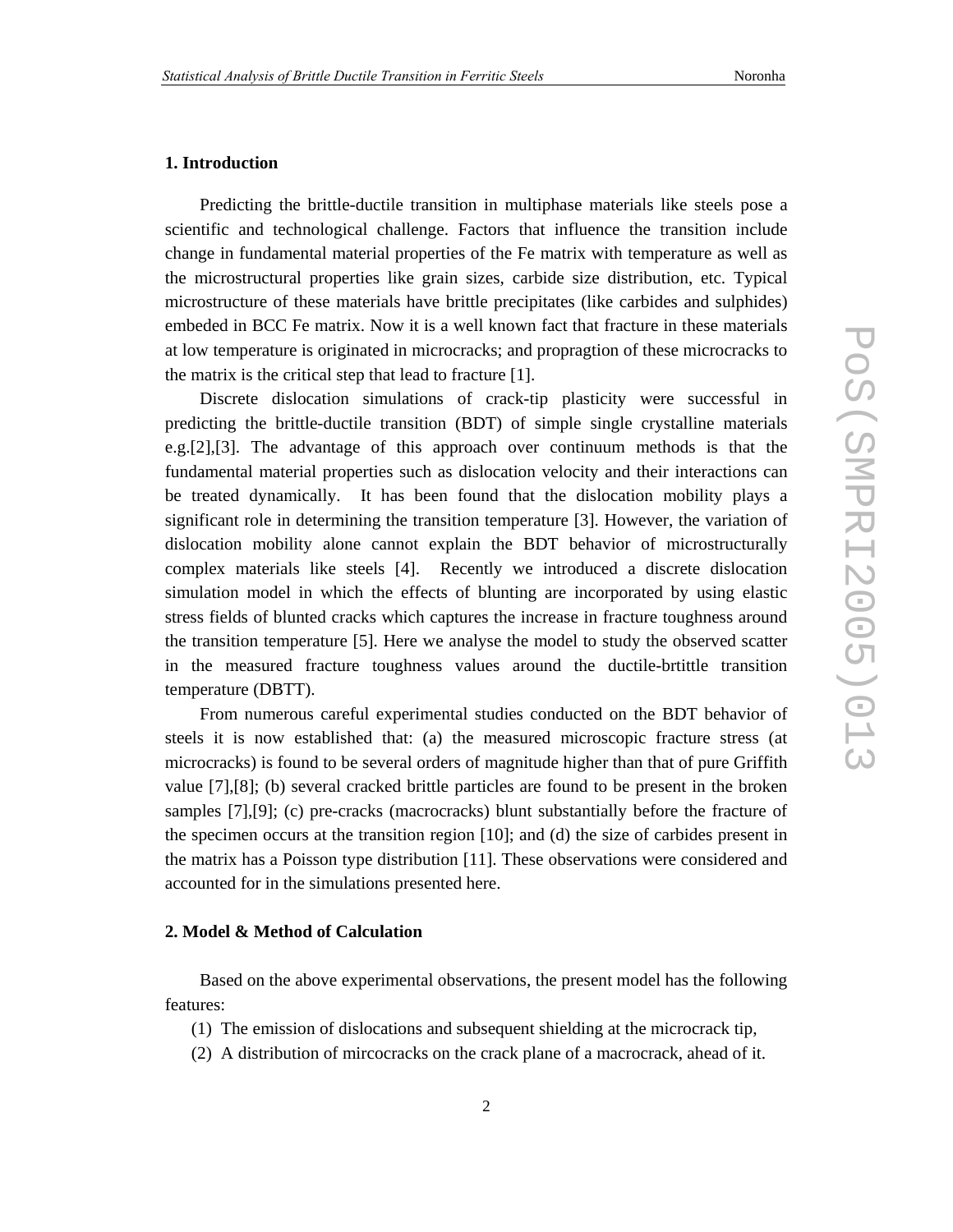#### **1. Introduction**

Predicting the brittle-ductile transition in multiphase materials like steels pose a scientific and technological challenge. Factors that influence the transition include change in fundamental material properties of the Fe matrix with temperature as well as the microstructural properties like grain sizes, carbide size distribution, etc. Typical microstructure of these materials have brittle precipitates (like carbides and sulphides) embeded in BCC Fe matrix. Now it is a well known fact that fracture in these materials at low temperature is originated in microcracks; and propragtion of these microcracks to the matrix is the critical step that lead to fracture [1].

Discrete dislocation simulations of crack-tip plasticity were successful in predicting the brittle-ductile transition (BDT) of simple single crystalline materials e.g.[2],[3]. The advantage of this approach over continuum methods is that the fundamental material properties such as dislocation velocity and their interactions can be treated dynamically. It has been found that the dislocation mobility plays a significant role in determining the transition temperature [3]. However, the variation of dislocation mobility alone cannot explain the BDT behavior of microstructurally complex materials like steels [4]. Recently we introduced a discrete dislocation simulation model in which the effects of blunting are incorporated by using elastic stress fields of blunted cracks which captures the increase in fracture toughness around the transition temperature [5]. Here we analyse the model to study the observed scatter in the measured fracture toughness values around the ductile-brtittle transition temperature (DBTT).

From numerous careful experimental studies conducted on the BDT behavior of steels it is now established that: (a) the measured microscopic fracture stress (at microcracks) is found to be several orders of magnitude higher than that of pure Griffith value [7],[8]; (b) several cracked brittle particles are found to be present in the broken samples [7],[9]; (c) pre-cracks (macrocracks) blunt substantially before the fracture of the specimen occurs at the transition region [10]; and (d) the size of carbides present in the matrix has a Poisson type distribution [11]. These observations were considered and accounted for in the simulations presented here.

#### **2. Model & Method of Calculation**

Based on the above experimental observations, the present model has the following features:

- (1) The emission of dislocations and subsequent shielding at the microcrack tip,
- (2) A distribution of mircocracks on the crack plane of a macrocrack, ahead of it.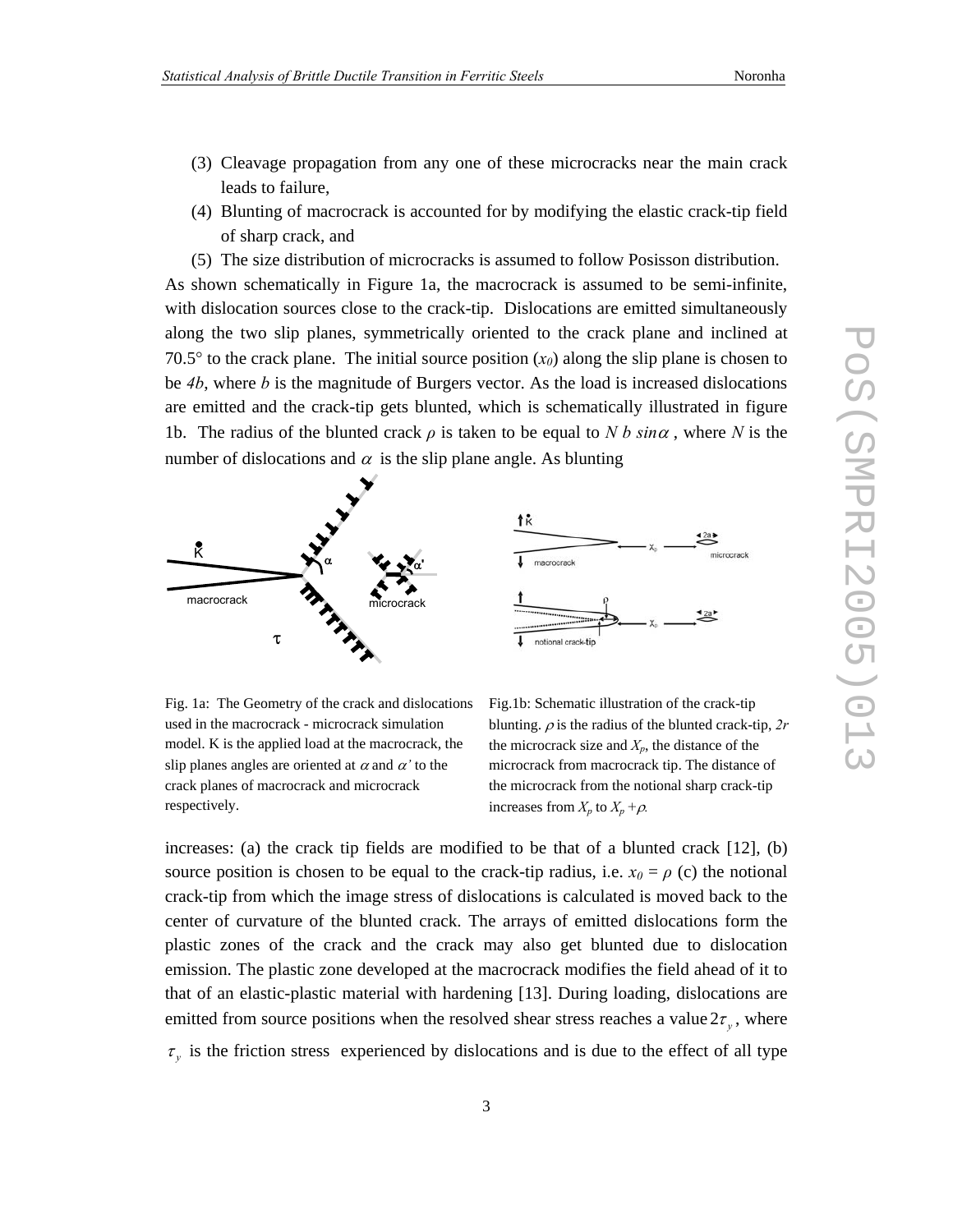- (3) Cleavage propagation from any one of these microcracks near the main crack leads to failure,
- (4) Blunting of macrocrack is accounted for by modifying the elastic crack-tip field of sharp crack, and
- (5) The size distribution of microcracks is assumed to follow Posisson distribution.

As shown schematically in Figure 1a, the macrocrack is assumed to be semi-infinite, with dislocation sources close to the crack-tip. Dislocations are emitted simultaneously along the two slip planes, symmetrically oriented to the crack plane and inclined at 70.5 $\degree$  to the crack plane. The initial source position  $(x_0)$  along the slip plane is chosen to be *4b*, where *b* is the magnitude of Burgers vector. As the load is increased dislocations are emitted and the crack-tip gets blunted, which is schematically illustrated in figure 1b. The radius of the blunted crack *ρ* is taken to be equal to *N b sin*α , where *N* is the number of dislocations and  $\alpha$  is the slip plane angle. As blunting



Fig. 1a: The Geometry of the crack and dislocations used in the macrocrack - microcrack simulation model. K is the applied load at the macrocrack, the slip planes angles are oriented at  $\alpha$  and  $\alpha'$  to the crack planes of macrocrack and microcrack respectively.

Fig.1b: Schematic illustration of the crack-tip blunting. ρ is the radius of the blunted crack-tip, *2r* the microcrack size and  $X_p$ , the distance of the microcrack from macrocrack tip. The distance of the microcrack from the notional sharp crack-tip increases from  $X_p$  to  $X_p + \rho$ .

increases: (a) the crack tip fields are modified to be that of a blunted crack [12], (b) source position is chosen to be equal to the crack-tip radius, i.e.  $x_0 = \rho$  (c) the notional crack-tip from which the image stress of dislocations is calculated is moved back to the center of curvature of the blunted crack. The arrays of emitted dislocations form the plastic zones of the crack and the crack may also get blunted due to dislocation emission. The plastic zone developed at the macrocrack modifies the field ahead of it to that of an elastic-plastic material with hardening [13]. During loading, dislocations are emitted from source positions when the resolved shear stress reaches a value  $2\tau$ <sub>*y*</sub>, where  $\tau$ <sub>y</sub> is the friction stress experienced by dislocations and is due to the effect of all type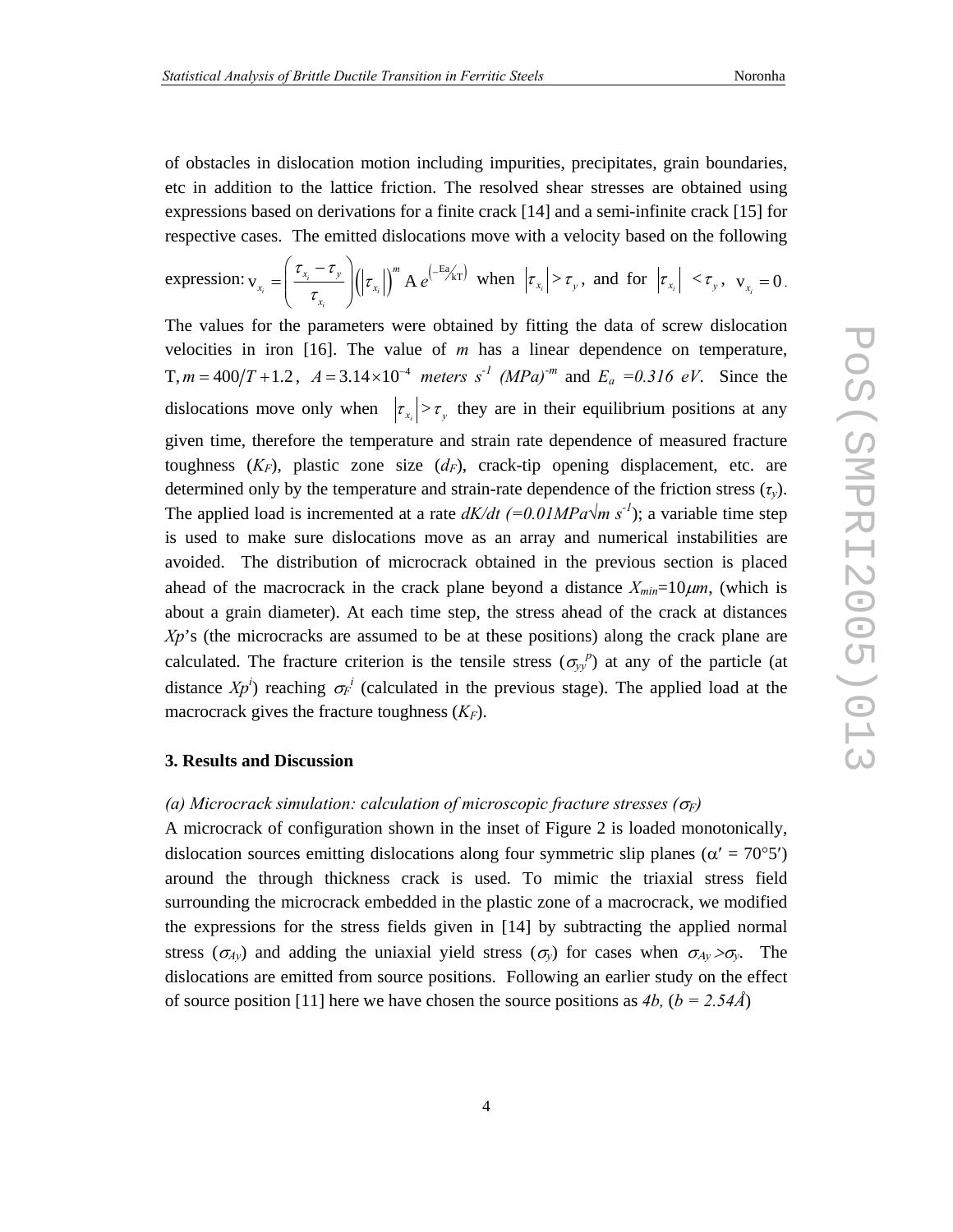of obstacles in dislocation motion including impurities, precipitates, grain boundaries, etc in addition to the lattice friction. The resolved shear stresses are obtained using expressions based on derivations for a finite crack [14] and a semi-infinite crack [15] for respective cases. The emitted dislocations move with a velocity based on the following

expression: 
$$
v_{x_i} = \left(\frac{\tau_{x_i} - \tau_y}{\tau_{x_i}}\right) (\left|\tau_{x_i}\right|)^m A e^{\left(-\frac{\text{Eq}}{\lambda}\right) \left|\tau_{x_i}\right|} \text{ when } \left|\tau_{x_i}\right| > \tau_y \text{, and for } \left|\tau_{x_i}\right| < \tau_y \text{, } v_{x_i} = 0.
$$

The values for the parameters were obtained by fitting the data of screw dislocation velocities in iron [16]. The value of *m* has a linear dependence on temperature, T,  $m = 400/T + 1.2$ ,  $A = 3.14 \times 10^{-4}$  meters s<sup>-1</sup> (MPa)<sup>-m</sup> and  $E_a = 0.316$  eV. Since the dislocations move only when  $|\tau_x| > \tau$ , they are in their equilibrium positions at any given time, therefore the temperature and strain rate dependence of measured fracture toughness  $(K_F)$ , plastic zone size  $(d_F)$ , crack-tip opening displacement, etc. are determined only by the temperature and strain-rate dependence of the friction stress (*τy*). The applied load is incremented at a rate  $dK/dt$  (=0.01MPa $\sqrt{m} s^{-1}$ ); a variable time step is used to make sure dislocations move as an array and numerical instabilities are avoided. The distribution of microcrack obtained in the previous section is placed ahead of the macrocrack in the crack plane beyond a distance  $X_{min}=10 \mu m$ , (which is about a grain diameter). At each time step, the stress ahead of the crack at distances Xp's (the microcracks are assumed to be at these positions) along the crack plane are calculated. The fracture criterion is the tensile stress  $(\sigma_{yy}^{\ p})$  at any of the particle (at distance  $Xp^i$ ) reaching  $\sigma_F^i$  (calculated in the previous stage). The applied load at the macrocrack gives the fracture toughness  $(K_F)$ .

## **3. Results and Discussion**

#### *(a) Microcrack simulation: calculation of microscopic fracture stresses (*σ*F)*

A microcrack of configuration shown in the inset of Figure 2 is loaded monotonically, dislocation sources emitting dislocations along four symmetric slip planes ( $\alpha' = 70^{\circ}5'$ ) around the through thickness crack is used. To mimic the triaxial stress field surrounding the microcrack embedded in the plastic zone of a macrocrack, we modified the expressions for the stress fields given in [14] by subtracting the applied normal stress ( $\sigma_{Ay}$ ) and adding the uniaxial yield stress ( $\sigma_y$ ) for cases when  $\sigma_{Ay} > \sigma_y$ . The dislocations are emitted from source positions. Following an earlier study on the effect of source position [11] here we have chosen the source positions as *4b,* (*b = 2.54Å*)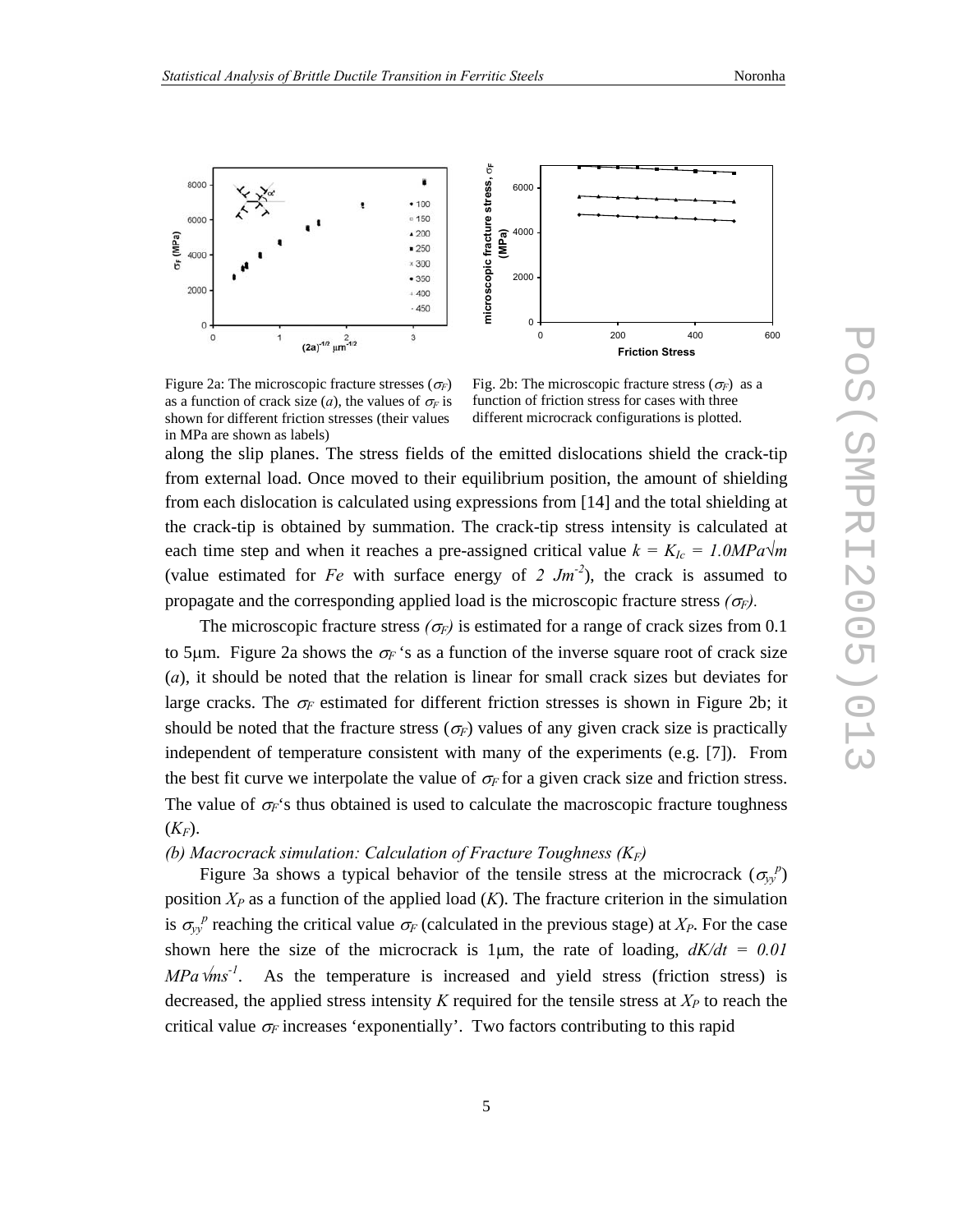

Figure 2a: The microscopic fracture stresses  $(\sigma_F)$ as a function of crack size (*a*), the values of  $\sigma_F$  is shown for different friction stresses (their values in MPa are shown as labels)

Fig. 2b: The microscopic fracture stress  $(\sigma_F)$  as a function of friction stress for cases with three different microcrack configurations is plotted.

along the slip planes. The stress fields of the emitted dislocations shield the crack-tip from external load. Once moved to their equilibrium position, the amount of shielding from each dislocation is calculated using expressions from [14] and the total shielding at the crack-tip is obtained by summation. The crack-tip stress intensity is calculated at each time step and when it reaches a pre-assigned critical value  $k = K_{Ic} = 1.0MPa\sqrt{m}$ (value estimated for *Fe* with surface energy of 2  $Jm^{-2}$ ), the crack is assumed to propagate and the corresponding applied load is the microscopic fracture stress  $(\sigma_F)$ .

The microscopic fracture stress  $(\sigma_F)$  is estimated for a range of crack sizes from 0.1 to 5 $\mu$ m. Figure 2a shows the  $\sigma_F$ 's as a function of the inverse square root of crack size (*a*), it should be noted that the relation is linear for small crack sizes but deviates for large cracks. The  $\sigma_F$  estimated for different friction stresses is shown in Figure 2b; it should be noted that the fracture stress  $(\sigma_F)$  values of any given crack size is practically independent of temperature consistent with many of the experiments (e.g. [7]). From the best fit curve we interpolate the value of  $\sigma_F$  for a given crack size and friction stress. The value of  $\sigma_F$ 's thus obtained is used to calculate the macroscopic fracture toughness  $(K_F)$ .

#### *(b) Macrocrack simulation: Calculation of Fracture Toughness (KF)*

Figure 3a shows a typical behavior of the tensile stress at the microcrack  $(\sigma_{y}^{\ p})$ position  $X_P$  as a function of the applied load  $(K)$ . The fracture criterion in the simulation is  $\sigma_{yy}^p$  reaching the critical value  $\sigma_F$  (calculated in the previous stage) at  $X_P$ . For the case shown here the size of the microcrack is 1 $\mu$ m, the rate of loading,  $dK/dt = 0.01$  $MPa$   $\sqrt{m}s^{-1}$ . As the temperature is increased and yield stress (friction stress) is decreased, the applied stress intensity  $K$  required for the tensile stress at  $X_P$  to reach the critical value  $\sigma_F$  increases 'exponentially'. Two factors contributing to this rapid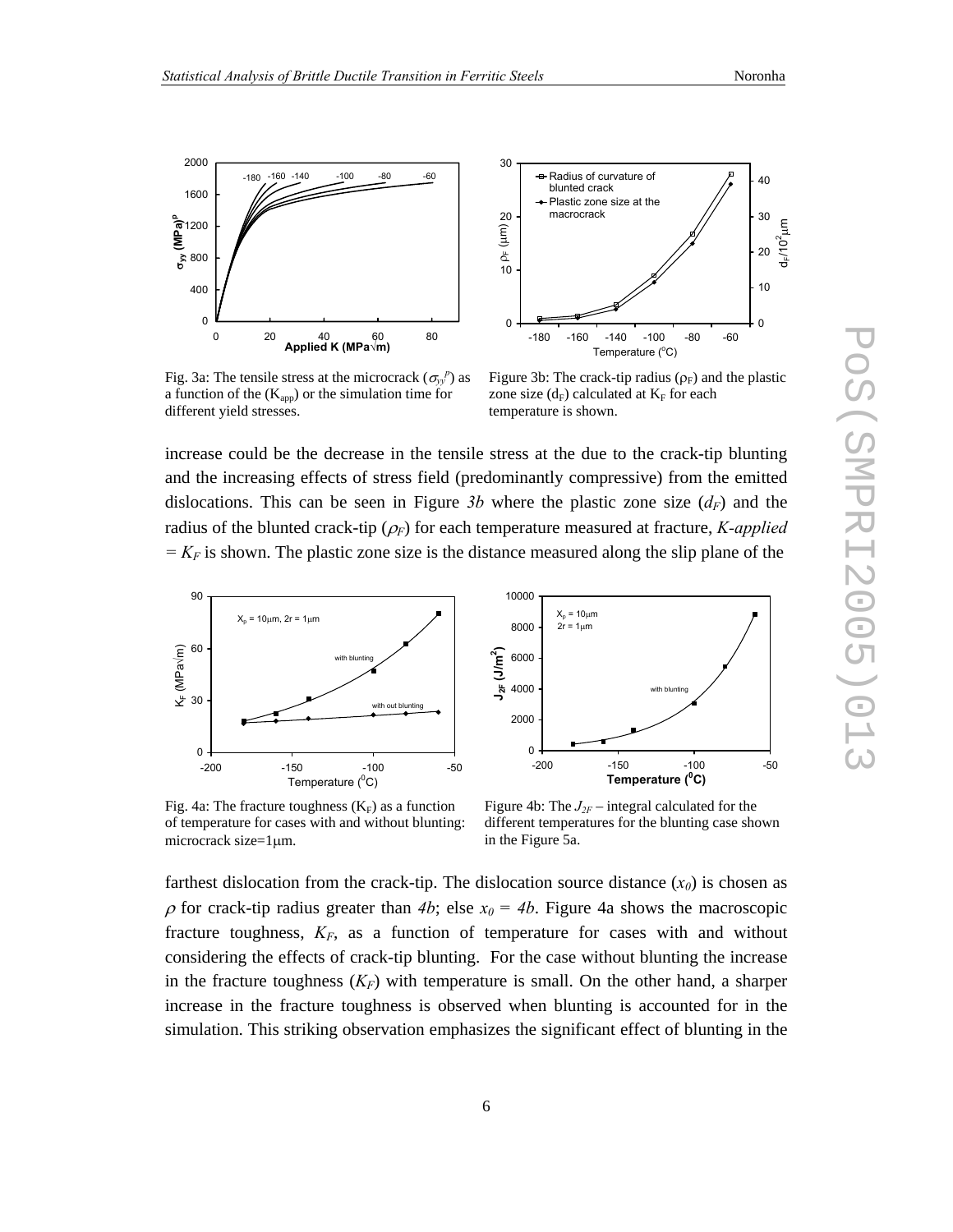

Fig. 3a: The tensile stress at the microcrack  $(\sigma_{y}^{\ p})$  as a function of the  $(K_{app})$  or the simulation time for different yield stresses.

Figure 3b: The crack-tip radius  $(\rho_F)$  and the plastic zone size  $(d_F)$  calculated at  $K_F$  for each temperature is shown.

increase could be the decrease in the tensile stress at the due to the crack-tip blunting and the increasing effects of stress field (predominantly compressive) from the emitted dislocations. This can be seen in Figure 3b where the plastic zone size  $(d_F)$  and the radius of the blunted crack-tip (<sup>ρ</sup>*F*) for each temperature measured at fracture, *K-applied*   $= K_F$  is shown. The plastic zone size is the distance measured along the slip plane of the



 $X<sub>n</sub> = 10µm$  $2r = 1 \mu m$ with blunting  $\Omega$ 2000 4000 6000 8000 10000 -200 -150 -100 -50 **Temperature (<sup>0</sup> C) J2F (J/m2 )**

Fig. 4a: The fracture toughness  $(K_F)$  as a function of temperature for cases with and without blunting: microcrack size=1µm.

Figure 4b: The  $J_{2F}$  – integral calculated for the different temperatures for the blunting case shown in the Figure 5a.

farthest dislocation from the crack-tip. The dislocation source distance  $(x_0)$  is chosen as  $\rho$  for crack-tip radius greater than 4b; else  $x_0 = 4b$ . Figure 4a shows the macroscopic fracture toughness,  $K_F$ , as a function of temperature for cases with and without considering the effects of crack-tip blunting. For the case without blunting the increase in the fracture toughness  $(K_F)$  with temperature is small. On the other hand, a sharper increase in the fracture toughness is observed when blunting is accounted for in the simulation. This striking observation emphasizes the significant effect of blunting in the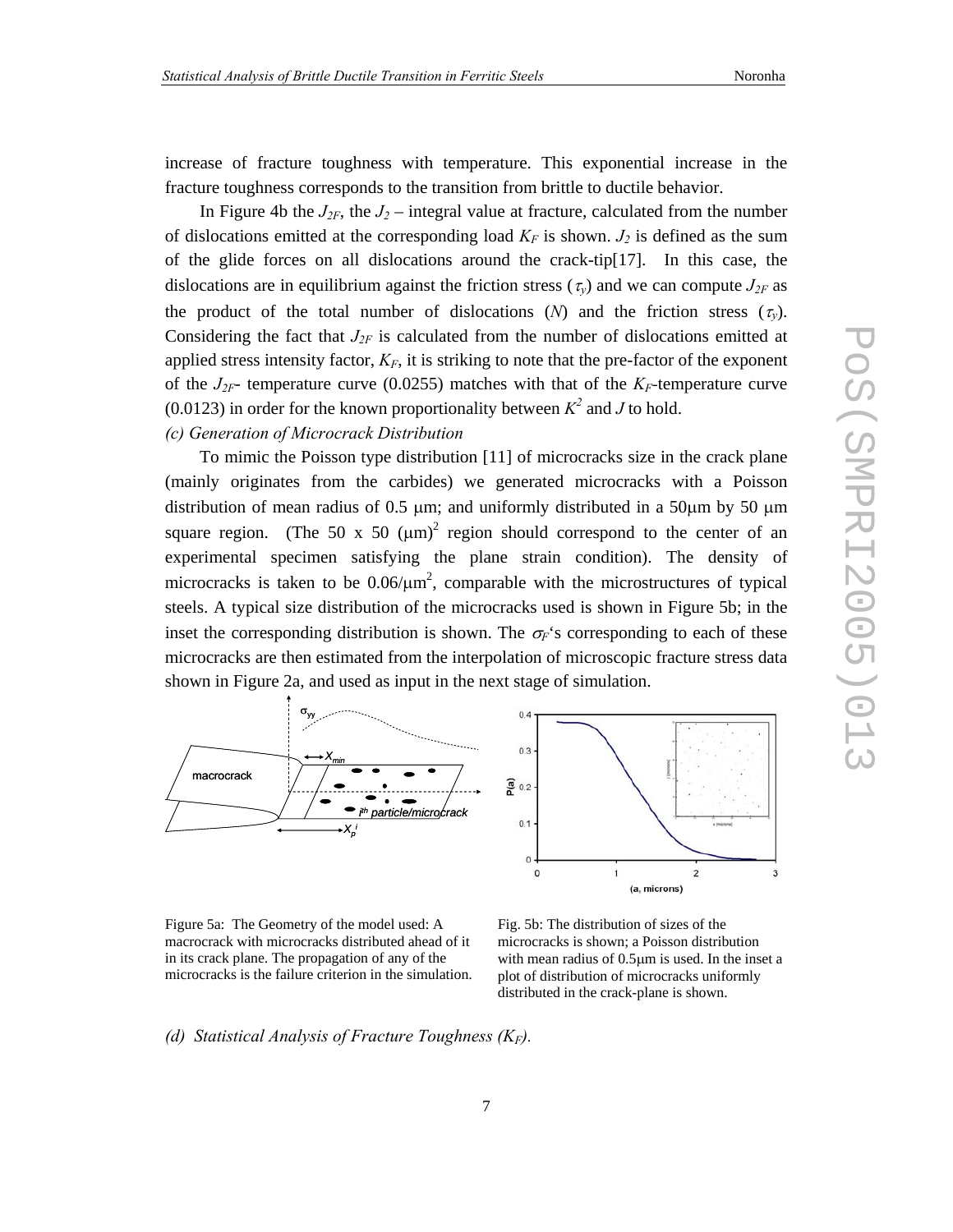increase of fracture toughness with temperature. This exponential increase in the fracture toughness corresponds to the transition from brittle to ductile behavior.

In Figure 4b the  $J_{2F}$ , the  $J_2$  – integral value at fracture, calculated from the number of dislocations emitted at the corresponding load  $K_F$  is shown.  $J_2$  is defined as the sum of the glide forces on all dislocations around the crack-tip[17]. In this case, the dislocations are in equilibrium against the friction stress ( $\tau_v$ ) and we can compute  $J_{2F}$  as the product of the total number of dislocations  $(N)$  and the friction stress  $(\tau_{\nu})$ . Considering the fact that  $J_{2F}$  is calculated from the number of dislocations emitted at applied stress intensity factor,  $K_F$ , it is striking to note that the pre-factor of the exponent of the  $J_{2F}$ - temperature curve (0.0255) matches with that of the  $K_F$ -temperature curve (0.0123) in order for the known proportionality between  $K^2$  and *J* to hold.

# *(c) Generation of Microcrack Distribution*

To mimic the Poisson type distribution [11] of microcracks size in the crack plane (mainly originates from the carbides) we generated microcracks with a Poisson distribution of mean radius of 0.5  $\mu$ m; and uniformly distributed in a 50 $\mu$ m by 50  $\mu$ m square region. (The 50 x 50  $(\mu m)^2$  region should correspond to the center of an experimental specimen satisfying the plane strain condition). The density of microcracks is taken to be  $0.06/\mu m^2$ , comparable with the microstructures of typical steels. A typical size distribution of the microcracks used is shown in Figure 5b; in the inset the corresponding distribution is shown. The  $\sigma_F$ 's corresponding to each of these microcracks are then estimated from the interpolation of microscopic fracture stress data shown in Figure 2a, and used as input in the next stage of simulation.





Figure 5a: The Geometry of the model used: A macrocrack with microcracks distributed ahead of it in its crack plane. The propagation of any of the microcracks is the failure criterion in the simulation.

Fig. 5b: The distribution of sizes of the microcracks is shown; a Poisson distribution with mean radius of 0.5µm is used. In the inset a plot of distribution of microcracks uniformly distributed in the crack-plane is shown.

# *(d) Statistical Analysis of Fracture Toughness (KF).*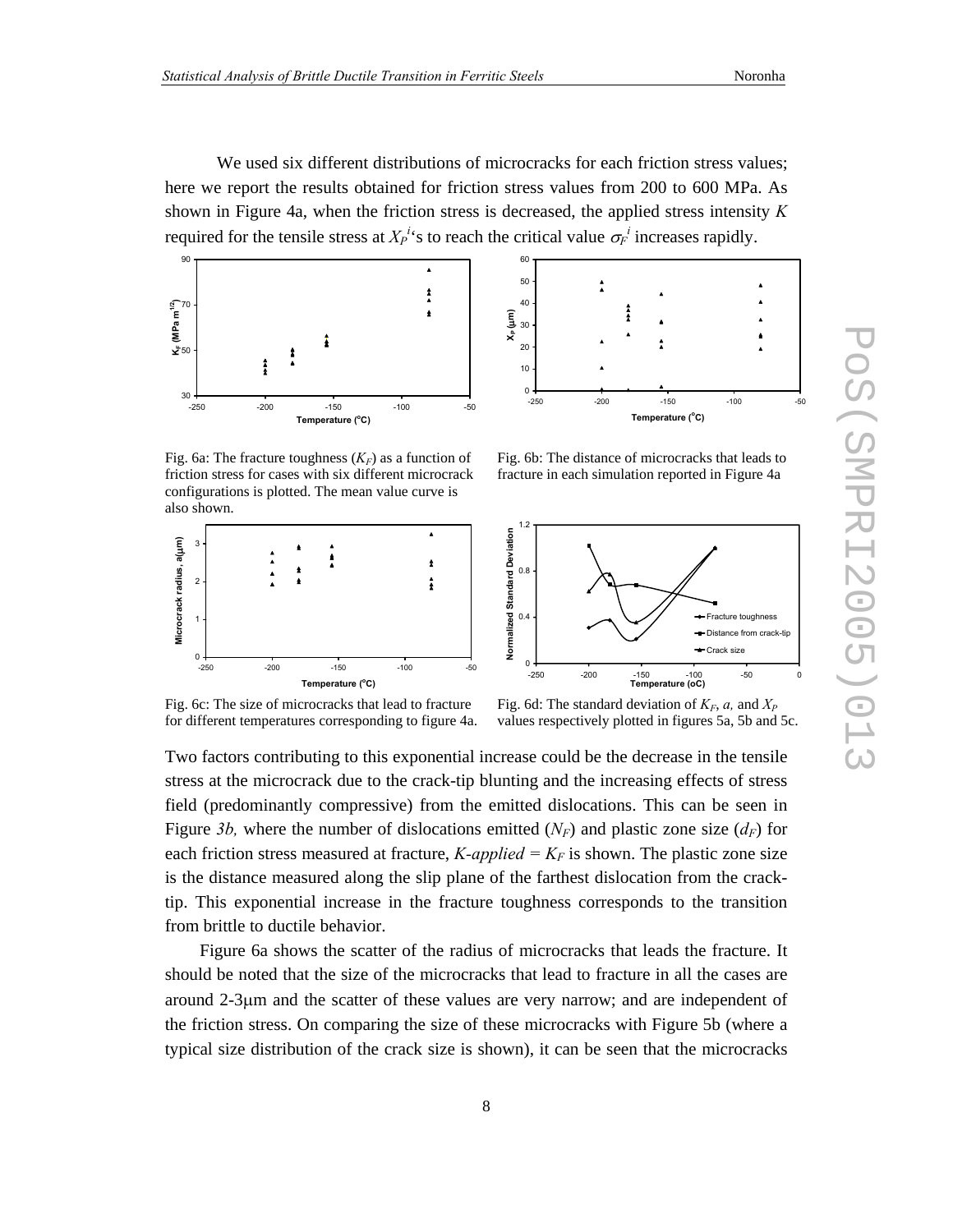We used six different distributions of microcracks for each friction stress values; here we report the results obtained for friction stress values from 200 to 600 MPa. As shown in Figure 4a, when the friction stress is decreased, the applied stress intensity *K* required for the tensile stress at  $X_P^i$ 's to reach the critical value  $\sigma_F^i$  increases rapidly.



Fig. 6a: The fracture toughness  $(K_F)$  as a function of friction stress for cases with six different microcrack configurations is plotted. The mean value curve is also shown.





Fig. 6b: The distance of microcracks that leads to fracture in each simulation reported in Figure 4a



Fig. 6c: The size of microcracks that lead to fracture for different temperatures corresponding to figure 4a.

Fig. 6d: The standard deviation of  $K_F$ , *a*, and  $X_P$ values respectively plotted in figures 5a, 5b and 5c.

Two factors contributing to this exponential increase could be the decrease in the tensile stress at the microcrack due to the crack-tip blunting and the increasing effects of stress field (predominantly compressive) from the emitted dislocations. This can be seen in Figure 3b, where the number of dislocations emitted  $(N_F)$  and plastic zone size  $(d_F)$  for each friction stress measured at fracture,  $K\text{-}applied = K_F$  is shown. The plastic zone size is the distance measured along the slip plane of the farthest dislocation from the cracktip. This exponential increase in the fracture toughness corresponds to the transition from brittle to ductile behavior.

Figure 6a shows the scatter of the radius of microcracks that leads the fracture. It should be noted that the size of the microcracks that lead to fracture in all the cases are around 2-3µm and the scatter of these values are very narrow; and are independent of the friction stress. On comparing the size of these microcracks with Figure 5b (where a typical size distribution of the crack size is shown), it can be seen that the microcracks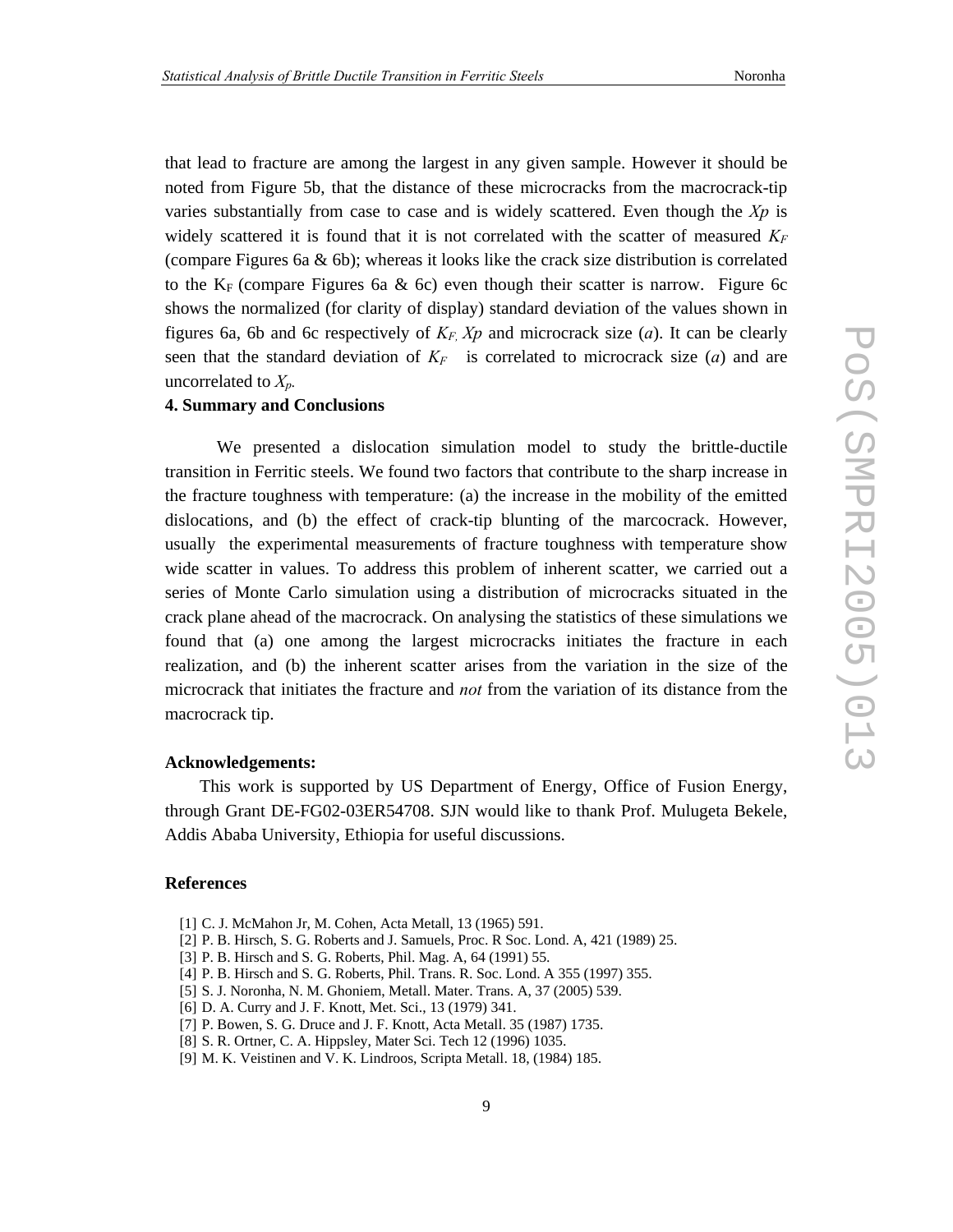that lead to fracture are among the largest in any given sample. However it should be noted from Figure 5b, that the distance of these microcracks from the macrocrack-tip varies substantially from case to case and is widely scattered. Even though the *Xp* is widely scattered it is found that it is not correlated with the scatter of measured  $K_F$ (compare Figures 6a  $\&$  6b); whereas it looks like the crack size distribution is correlated to the  $K_F$  (compare Figures 6a & 6c) even though their scatter is narrow. Figure 6c shows the normalized (for clarity of display) standard deviation of the values shown in figures 6a, 6b and 6c respectively of  $K_F$ ,  $Xp$  and microcrack size (*a*). It can be clearly seen that the standard deviation of  $K_F$  is correlated to microcrack size (*a*) and are uncorrelated to *Xp.* 

#### **4. Summary and Conclusions**

We presented a dislocation simulation model to study the brittle-ductile transition in Ferritic steels. We found two factors that contribute to the sharp increase in the fracture toughness with temperature: (a) the increase in the mobility of the emitted dislocations, and (b) the effect of crack-tip blunting of the marcocrack. However, usually the experimental measurements of fracture toughness with temperature show wide scatter in values. To address this problem of inherent scatter, we carried out a series of Monte Carlo simulation using a distribution of microcracks situated in the crack plane ahead of the macrocrack. On analysing the statistics of these simulations we found that (a) one among the largest microcracks initiates the fracture in each realization, and (b) the inherent scatter arises from the variation in the size of the microcrack that initiates the fracture and *not* from the variation of its distance from the macrocrack tip.

#### **Acknowledgements:**

This work is supported by US Department of Energy, Office of Fusion Energy, through Grant DE-FG02-03ER54708. SJN would like to thank Prof. Mulugeta Bekele, Addis Ababa University, Ethiopia for useful discussions.

#### **References**

- [1] C. J. McMahon Jr, M. Cohen, Acta Metall, 13 (1965) 591.
- [2] P. B. Hirsch, S. G. Roberts and J. Samuels, Proc. R Soc. Lond. A, 421 (1989) 25.
- [3] P. B. Hirsch and S. G. Roberts, Phil. Mag. A, 64 (1991) 55.
- [4] P. B. Hirsch and S. G. Roberts, Phil. Trans. R. Soc. Lond. A 355 (1997) 355.
- [5] S. J. Noronha, N. M. Ghoniem, Metall. Mater. Trans. A, 37 (2005) 539.
- [6] D. A. Curry and J. F. Knott, Met. Sci., 13 (1979) 341.
- [7] P. Bowen, S. G. Druce and J. F. Knott, Acta Metall. 35 (1987) 1735.
- [8] S. R. Ortner, C. A. Hippsley, Mater Sci. Tech 12 (1996) 1035.
- [9] M. K. Veistinen and V. K. Lindroos, Scripta Metall. 18, (1984) 185.